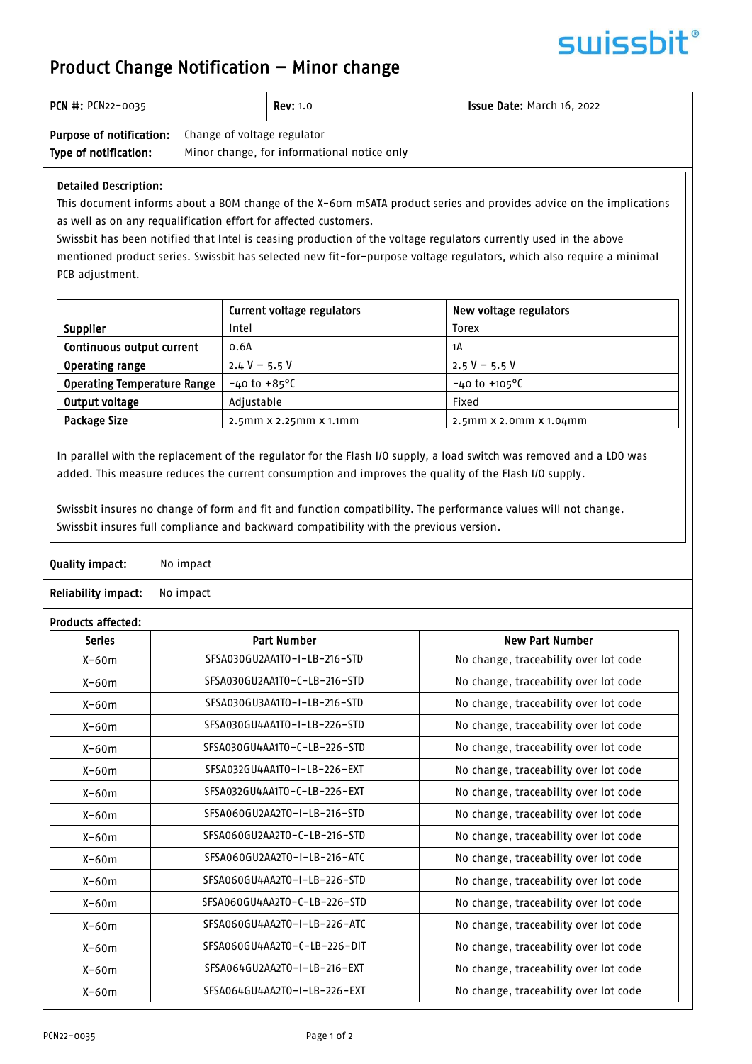# surissbit®

## Product Change Notification – Minor change

| <b>PCN #: PCN22-0035</b>                                              |   | <b>Rev:</b> 1.0 | <b>Issue Date: March 16, 2022</b> |
|-----------------------------------------------------------------------|---|-----------------|-----------------------------------|
| <b>Purpose of notification:</b> Change of voltage regulator<br>$\sim$ | . |                 |                                   |

#### Type of notification: Minor change, for informational notice only

### Detailed Description:

This document informs about a BOM change of the X-60m mSATA product series and provides advice on the implications as well as on any requalification effort for affected customers.

Swissbit has been notified that Intel is ceasing production of the voltage regulators currently used in the above mentioned product series. Swissbit has selected new fit-for-purpose voltage regulators, which also require a minimal PCB adjustment.

|                                    | Current voltage regulators      | New voltage regulators    |
|------------------------------------|---------------------------------|---------------------------|
| <b>Supplier</b>                    | Intel                           | Torex                     |
| Continuous output current          | 0.6A                            | 1А                        |
| <b>Operating range</b>             | 2.4 V – 5.5 V                   | $2.5 V - 5.5 V$           |
| <b>Operating Temperature Range</b> | $-40$ to $+85^{\circ}$ C        | $-40$ to $+105$ °C        |
| Output voltage                     | Adjustable                      | Fixed                     |
| Package Size                       | $2.5$ mm $x 2.25$ mm $x 1.1$ mm | $2.5$ mm x 2.0mm x 1.04mm |

In parallel with the replacement of the regulator for the Flash I/O supply, a load switch was removed and a LDO was added. This measure reduces the current consumption and improves the quality of the Flash I/O supply.

Swissbit insures no change of form and fit and function compatibility. The performance values will not change. Swissbit insures full compliance and backward compatibility with the previous version.

### Quality impact: No impact

Reliability impact: No impact

| <b>Series</b> | <b>Part Number</b>           | <b>New Part Number</b>                |
|---------------|------------------------------|---------------------------------------|
| $X-60m$       | SFSA030GU2AA1TO-I-LB-216-STD | No change, traceability over lot code |
| $X-60m$       | SFSA030GU2AA1TO-C-LB-216-STD | No change, traceability over lot code |
| $X-60m$       | SFSA030GU3AA1T0-I-LB-216-STD | No change, traceability over lot code |
| $X-60m$       | SFSA030GU4AA1T0-I-LB-226-STD | No change, traceability over lot code |
| $X-60m$       | SFSA030GU4AA1TO-C-LB-226-STD | No change, traceability over lot code |
| $X-60m$       | SFSA032GU4AA1TO-I-LB-226-EXT | No change, traceability over lot code |
| $X-60m$       | SFSA032GU4AA1T0-C-LB-226-EXT | No change, traceability over lot code |
| $X-60m$       | SFSA060GU2AA2T0-I-LB-216-STD | No change, traceability over lot code |
| $X-60m$       | SFSA060GU2AA2T0-C-LB-216-STD | No change, traceability over lot code |
| $X-60m$       | SFSA060GU2AA2T0-I-LB-216-ATC | No change, traceability over lot code |
| $X-60m$       | SFSA060GU4AA2T0-I-LB-226-STD | No change, traceability over lot code |
| $X-60m$       | SFSA060GU4AA2TO-C-LB-226-STD | No change, traceability over lot code |
| $X-60m$       | SFSA060GU4AA2T0-I-LB-226-ATC | No change, traceability over lot code |
| $X-60m$       | SFSA060GU4AA2TO-C-LB-226-DIT | No change, traceability over lot code |
| $X-60m$       | SFSA064GU2AA2T0-I-LB-216-EXT | No change, traceability over lot code |
| $X-60m$       | SFSA064GU4AA2T0-I-LB-226-EXT | No change, traceability over lot code |